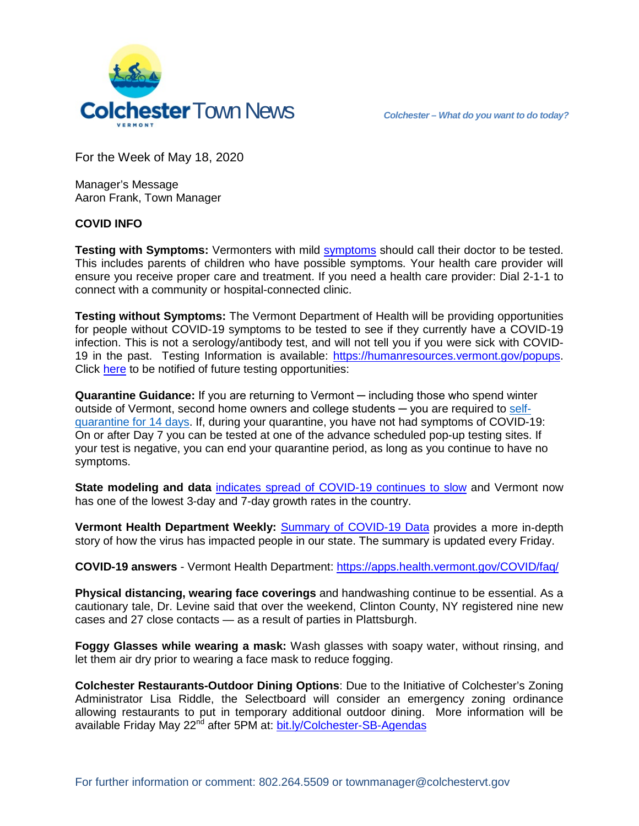

For the Week of May 18, 2020

Manager's Message Aaron Frank, Town Manager

## **COVID INFO**

**Testing with Symptoms:** Vermonters with mild [symptoms](https://www.cdc.gov/coronavirus/2019-ncov/symptoms-testing/symptoms.html) should call their doctor to be tested. This includes parents of children who have possible symptoms. Your health care provider will ensure you receive proper care and treatment. If you need a health care provider: Dial 2-1-1 to connect with a community or hospital-connected clinic.

**Testing without Symptoms:** The Vermont Department of Health will be providing opportunities for people without COVID-19 symptoms to be tested to see if they currently have a COVID-19 infection. This is not a serology/antibody test, and will not tell you if you were sick with COVID19 in the past. Testing Information is available: [https://humanresources.vermont.gov/popups.](https://humanresources.vermont.gov/popups) Click [here](https://www.surveygizmo.com/s3/5606130/Interested-in-future-COVID-19-Testing-Sites) to be notified of [future testing opportunities:](https://www.surveygizmo.com/s3/5606130/Interested-in-future-COVID-19-Testing-Sites)

**Quarantine Guidance:** If you are returning to Vermont ─ including those who spend winter outside of Vermont, second home owners and college students ─ you are required to [self](https://www.healthvermont.gov/sites/default/files/documents/pdf/COVID-19-chart-observation-isolation-quarantine_final.pdf)[quarantine for 14 days.](https://www.healthvermont.gov/sites/default/files/documents/pdf/COVID-19-chart-observation-isolation-quarantine_final.pdf) If, during your quarantine, you have not had symptoms of COVID-19: On or after Day 7 you can be tested at one of the advance scheduled pop-up testing sites. If your test is negative, you can end your quarantine period, as long as you continue to have no symptoms.

**State modeling and data** [indicates spread of COVID-19 continues to slow](https://dfr.vermont.gov/sites/finreg/files/doc_library/dfr-covid19-modeling-0501520.pdf) and Vermont now has one of the lowest 3-day and 7-day growth rates in the country.

**Vermont Health Department Weekly:** [Summary of COVID-19 Data](https://www.healthvermont.gov/sites/default/files/documents/pdf/Weekly-Summary-of-Data.pdf) provides a more in-depth story of how the virus has impacted people in our state. The summary is updated every Friday.

**COVID-19 answers** - Vermont Health Department:<https://apps.health.vermont.gov/COVID/faq/>

**Physical distancing, wearing face coverings** and handwashing continue to be essential. As a cautionary tale, Dr. Levine said that over the weekend, Clinton County, NY registered nine new cases and 27 close contacts — as a result of parties in Plattsburgh.

**Foggy Glasses while wearing a mask:** Wash glasses with soapy water, without rinsing, and let them air dry prior to wearing a face mask to reduce fogging.

**Colchester Restaurants-Outdoor Dining Options**: Due to the Initiative of Colchester's Zoning Administrator Lisa Riddle, the Selectboard will consider an emergency zoning ordinance allowing restaurants to put in temporary additional outdoor dining. More information will be available Friday May 22<sup>nd</sup> after 5PM at: [bit.ly/Colchester-SB-Agendas](http://www.bit.ly/Colchester-SB-Agendas)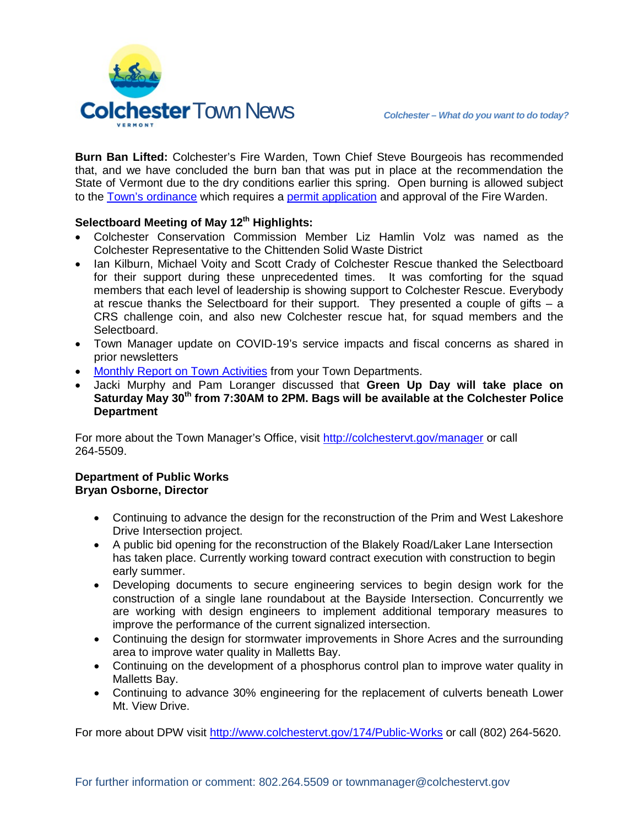

**Burn Ban Lifted:** Colchester's Fire Warden, Town Chief Steve Bourgeois has recommended that, and we have concluded the burn ban that was put in place at the recommendation the State of Vermont due to the dry conditions earlier this spring. Open burning is allowed subject to the [Town's ordinance](https://clerkshq.com/Content/Colchester-vt/books/code/Colchc07.htm#BK_191C15FB6918016F913B0307DB8DD970) which requires a [permit application](https://www.colchestervt.gov/FormCenter/Police-8/Burn-Permit-49) and approval of the Fire Warden.

## **Selectboard Meeting of May 12th Highlights:**

- Colchester Conservation Commission Member Liz Hamlin Volz was named as the Colchester Representative to the Chittenden Solid Waste District
- Ian Kilburn, Michael Voity and Scott Crady of Colchester Rescue thanked the Selectboard for their support during these unprecedented times. It was comforting for the squad members that each level of leadership is showing support to Colchester Rescue. Everybody at rescue thanks the Selectboard for their support. They presented a couple of gifts – a CRS challenge coin, and also new Colchester rescue hat, for squad members and the Selectboard.
- Town Manager update on COVID-19's service impacts and fiscal concerns as shared in prior newsletters
- [Monthly Report on Town Activities](https://clerkshq.com/Content/Attachments/Colchester-vt/200512_09a.pdf?clientSite=Colchester-vt) from your Town Departments.
- Jacki Murphy and Pam Loranger discussed that **Green Up Day will take place on Saturday May 30th from 7:30AM to 2PM. Bags will be available at the Colchester Police Department**

For more about the Town Manager's Office, visit<http://colchestervt.gov/manager> or call 264-5509.

## **Department of Public Works Bryan Osborne, Director**

- Continuing to advance the design for the reconstruction of the Prim and West Lakeshore Drive Intersection project.
- A public bid opening for the reconstruction of the Blakely Road/Laker Lane Intersection has taken place. Currently working toward contract execution with construction to begin early summer.
- Developing documents to secure engineering services to begin design work for the construction of a single lane roundabout at the Bayside Intersection. Concurrently we are working with design engineers to implement additional temporary measures to improve the performance of the current signalized intersection.
- Continuing the design for stormwater improvements in Shore Acres and the surrounding area to improve water quality in Malletts Bay.
- Continuing on the development of a phosphorus control plan to improve water quality in Malletts Bay.
- Continuing to advance 30% engineering for the replacement of culverts beneath Lower Mt. View Drive.

For more about DPW visit<http://www.colchestervt.gov/174/Public-Works> or call (802) 264-5620.